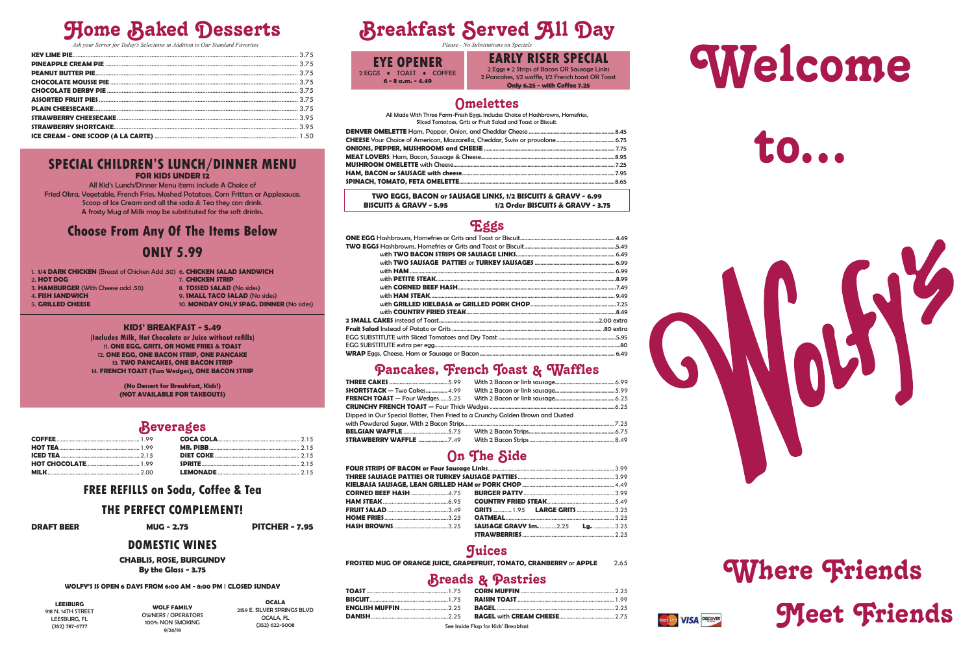## **Home Baked Desserts**

Ask your Server for Today's Selections in Addition to Our Standard Favorites

#### **SPECIAL CHILDREN'S LUNCH/DINNER MENU FOR KIDS UNDER 12**

All Kid's Lunch/Dinner Menu items include A Choice of

Fried Okra, Vegetable, French Fries, Mashed Potatoes, Corn Fritters or Applesauce. Scoop of Ice Cream and all the soda & Tea they can drink. A frosty Mug of Milk may be substituted for the soft drinks.

## **Choose From Any Of The Items Below ONLY 5.99**

- 1. 1/4 DARK CHICKEN (Breast of Chicken Add .50) 6. CHICKEN SALAD SANDWICH
- 2. HOT DOG

7. CHICKEN STRIP

- 
- 3. HAMBURGER (With Cheese add .50)
- **4. FISH SANDWICH** 5. GRILLED CHEESE

8. TOSSED SALAD (No sides) 9. **SMALL TACO SALAD** (No sides) 10. MONDAY ONLY SPAG. DINNER (No sides)

#### KIDS' BREAKFAST - 5.49

(Includes Milk, Hot Chocolate or Juice without refills) 11. ONE EGG, GRITS, OR HOME FRIES & TOAST 12. ONE EGG, ONE BACON STRIP, ONE PANCAKE 13. TWO PANCAKES, ONE BACON STRIP 14. FRENCH TOAST (Two Wedges), ONE BACON STRIP

> (No Dessert for Breakfast, Kids!) (NOT AVAILABLE FOR TAKEOUTS)

### **Beverages**

### **FREE REFILLS on Soda, Coffee & Tea**

### THE PERFECT COMPLEMENT!

**DRAFT BEER** 

**MUG - 2.75** 

#### **PITCHER - 7.95**

### **DOMESTIC WINES**

**CHABLIS, ROSE, BURGUNDY** 

By the Glass - 3.75

#### WOLFY'S IS OPEN 6 DAYS FROM 6:00 AM - 8:00 PM | CLOSED SUNDAY

**LEESBURG** 918 N. 14TH STREET LEESBURG, FL (352) 787-6777

**WOLF FAMILY OWNERS / OPERATORS** 100% NON SMOKING 9/26/19

**OCALA** 2159 E. SILVER SPRINGS BLVD OCALA, FL (352) 622-5008

## **Breakfast Served All Day**

**EYE OPENER** 2 EGGS . TOAST . COFFEE  $6 - 8$  a.m.  $- 4.49$ 

**EARLY RISER SPECIAL** 2 Eggs . 2 Strips of Bacon OR Sausage Links 2 Pancakes, 1/2 waffle, 1/2 French toast OR Toast **Only 6.25 - with Coffee 7.25** 

### **Omelettes**

All Made With Three Farm-Fresh Eggs. Includes Choice of Hashbrowns, Homefries, Sliced Tomatoes, Grits or Fruit Salad and Toast or Biscuit.

TWO EGGS, BACON or SAUSAGE LINKS, 1/2 BISCUITS & GRAVY - 6.99 **BISCUITS & GRAVY - 5.95** 1/2 Order BISCUITS & GRAVY - 3.75

### Eggs

### Pancakes, French Toast & Waffles

| $\textsf{SHORTSTACK} - \textsf{Two Cakes} \text{}$ 4.99                       |  |
|-------------------------------------------------------------------------------|--|
|                                                                               |  |
|                                                                               |  |
| Dipped in Our Special Batter, Then Fried to a Crunchy Golden Brown and Dusted |  |
|                                                                               |  |
|                                                                               |  |
|                                                                               |  |
|                                                                               |  |

## On The Side

| HAM STEAK………………………………………6.95   COUNTRY FRIED STEAK…………………………………………5.49       |  |
|------------------------------------------------------------------------------|--|
| FRUIT SALAD ……………………………………3.49  GRITS …………… 1.95  LARGE GRITS ……………………… 3.25 |  |
|                                                                              |  |
|                                                                              |  |
|                                                                              |  |

### **Juices**

FROSTED MUG OF ORANGE JUICE, GRAPEFRUIT, TOMATO, CRANBERRY or APPLE 2.65

### **Breads & Pastries**

See Inside Flap for Kids' Breakfast





## Where Friends **Meet Friends** Mastercard **VISA** DISCOVER